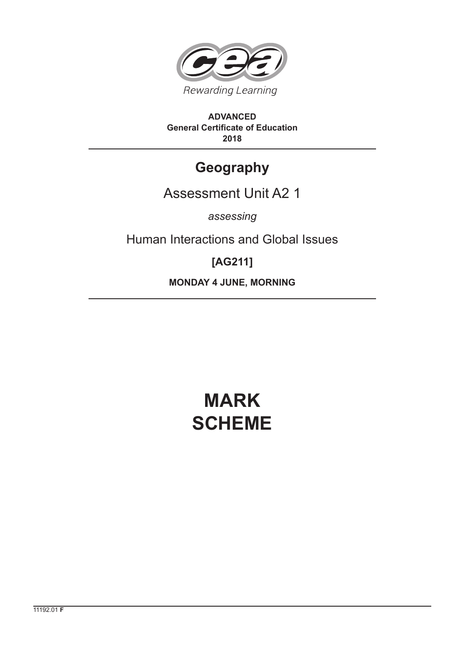

**ADVANCED General Certificate of Education 2018**

# **Geography**

## Assessment Unit A2 1

*assessing*

Human Interactions and Global Issues

# **[AG211]**

**MONDAY 4 JUNE, MORNING**

# **MARK SCHEME**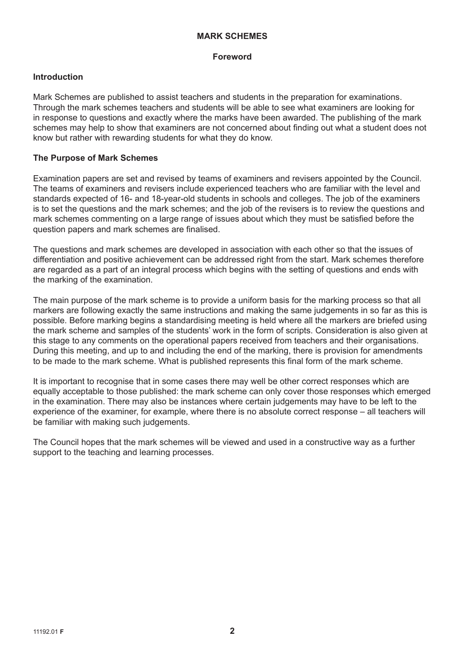#### **MARK SCHEMES**

#### **Foreword**

#### **Introduction**

Mark Schemes are published to assist teachers and students in the preparation for examinations. Through the mark schemes teachers and students will be able to see what examiners are looking for in response to questions and exactly where the marks have been awarded. The publishing of the mark schemes may help to show that examiners are not concerned about finding out what a student does not know but rather with rewarding students for what they do know.

#### **The Purpose of Mark Schemes**

Examination papers are set and revised by teams of examiners and revisers appointed by the Council. The teams of examiners and revisers include experienced teachers who are familiar with the level and standards expected of 16- and 18-year-old students in schools and colleges. The job of the examiners is to set the questions and the mark schemes; and the job of the revisers is to review the questions and mark schemes commenting on a large range of issues about which they must be satisfied before the question papers and mark schemes are finalised.

The questions and mark schemes are developed in association with each other so that the issues of differentiation and positive achievement can be addressed right from the start. Mark schemes therefore are regarded as a part of an integral process which begins with the setting of questions and ends with the marking of the examination.

The main purpose of the mark scheme is to provide a uniform basis for the marking process so that all markers are following exactly the same instructions and making the same judgements in so far as this is possible. Before marking begins a standardising meeting is held where all the markers are briefed using the mark scheme and samples of the students' work in the form of scripts. Consideration is also given at this stage to any comments on the operational papers received from teachers and their organisations. During this meeting, and up to and including the end of the marking, there is provision for amendments to be made to the mark scheme. What is published represents this final form of the mark scheme.

It is important to recognise that in some cases there may well be other correct responses which are equally acceptable to those published: the mark scheme can only cover those responses which emerged in the examination. There may also be instances where certain judgements may have to be left to the experience of the examiner, for example, where there is no absolute correct response – all teachers will be familiar with making such judgements.

The Council hopes that the mark schemes will be viewed and used in a constructive way as a further support to the teaching and learning processes.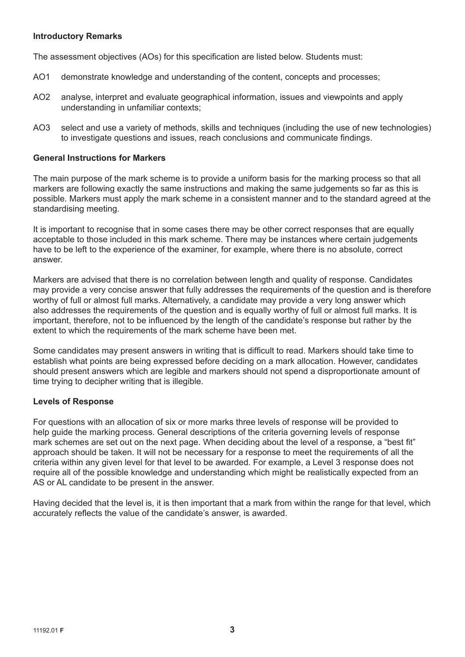#### **Introductory Remarks**

The assessment objectives (AOs) for this specification are listed below. Students must:

- AO1 demonstrate knowledge and understanding of the content, concepts and processes;
- AO2 analyse, interpret and evaluate geographical information, issues and viewpoints and apply understanding in unfamiliar contexts;
- AO3 select and use a variety of methods, skills and techniques (including the use of new technologies) to investigate questions and issues, reach conclusions and communicate findings.

#### **General Instructions for Markers**

The main purpose of the mark scheme is to provide a uniform basis for the marking process so that all markers are following exactly the same instructions and making the same judgements so far as this is possible. Markers must apply the mark scheme in a consistent manner and to the standard agreed at the standardising meeting.

It is important to recognise that in some cases there may be other correct responses that are equally acceptable to those included in this mark scheme. There may be instances where certain judgements have to be left to the experience of the examiner, for example, where there is no absolute, correct answer.

Markers are advised that there is no correlation between length and quality of response. Candidates may provide a very concise answer that fully addresses the requirements of the question and is therefore worthy of full or almost full marks. Alternatively, a candidate may provide a very long answer which also addresses the requirements of the question and is equally worthy of full or almost full marks. It is important, therefore, not to be influenced by the length of the candidate's response but rather by the extent to which the requirements of the mark scheme have been met.

Some candidates may present answers in writing that is difficult to read. Markers should take time to establish what points are being expressed before deciding on a mark allocation. However, candidates should present answers which are legible and markers should not spend a disproportionate amount of time trying to decipher writing that is illegible.

#### **Levels of Response**

For questions with an allocation of six or more marks three levels of response will be provided to help guide the marking process. General descriptions of the criteria governing levels of response mark schemes are set out on the next page. When deciding about the level of a response, a "best fit" approach should be taken. It will not be necessary for a response to meet the requirements of all the criteria within any given level for that level to be awarded. For example, a Level 3 response does not require all of the possible knowledge and understanding which might be realistically expected from an AS or AL candidate to be present in the answer.

Having decided that the level is, it is then important that a mark from within the range for that level, which accurately reflects the value of the candidate's answer, is awarded.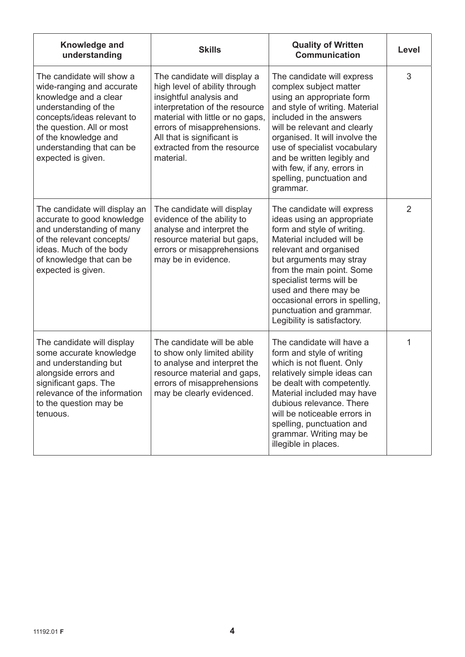| Knowledge and<br>understanding                                                                                                                                                                                                                | <b>Skills</b>                                                                                                                                                                                                                                                           | <b>Quality of Written</b><br><b>Communication</b>                                                                                                                                                                                                                                                                                                       | Level          |
|-----------------------------------------------------------------------------------------------------------------------------------------------------------------------------------------------------------------------------------------------|-------------------------------------------------------------------------------------------------------------------------------------------------------------------------------------------------------------------------------------------------------------------------|---------------------------------------------------------------------------------------------------------------------------------------------------------------------------------------------------------------------------------------------------------------------------------------------------------------------------------------------------------|----------------|
| The candidate will show a<br>wide-ranging and accurate<br>knowledge and a clear<br>understanding of the<br>concepts/ideas relevant to<br>the question. All or most<br>of the knowledge and<br>understanding that can be<br>expected is given. | The candidate will display a<br>high level of ability through<br>insightful analysis and<br>interpretation of the resource<br>material with little or no gaps,<br>errors of misapprehensions.<br>All that is significant is<br>extracted from the resource<br>material. | The candidate will express<br>complex subject matter<br>using an appropriate form<br>and style of writing. Material<br>included in the answers<br>will be relevant and clearly<br>organised. It will involve the<br>use of specialist vocabulary<br>and be written legibly and<br>with few, if any, errors in<br>spelling, punctuation and<br>grammar.  | 3              |
| The candidate will display an<br>accurate to good knowledge<br>and understanding of many<br>of the relevant concepts/<br>ideas. Much of the body<br>of knowledge that can be<br>expected is given.                                            | The candidate will display<br>evidence of the ability to<br>analyse and interpret the<br>resource material but gaps,<br>errors or misapprehensions<br>may be in evidence.                                                                                               | The candidate will express<br>ideas using an appropriate<br>form and style of writing.<br>Material included will be<br>relevant and organised<br>but arguments may stray<br>from the main point. Some<br>specialist terms will be<br>used and there may be<br>occasional errors in spelling,<br>punctuation and grammar.<br>Legibility is satisfactory. | $\overline{2}$ |
| The candidate will display<br>some accurate knowledge<br>and understanding but<br>alongside errors and<br>significant gaps. The<br>relevance of the information<br>to the question may be<br>tenuous.                                         | The candidate will be able<br>to show only limited ability<br>to analyse and interpret the<br>resource material and gaps,<br>errors of misapprehensions<br>may be clearly evidenced.                                                                                    | The candidate will have a<br>form and style of writing<br>which is not fluent. Only<br>relatively simple ideas can<br>be dealt with competently.<br>Material included may have<br>dubious relevance. There<br>will be noticeable errors in<br>spelling, punctuation and<br>grammar. Writing may be<br>illegible in places.                              | 1              |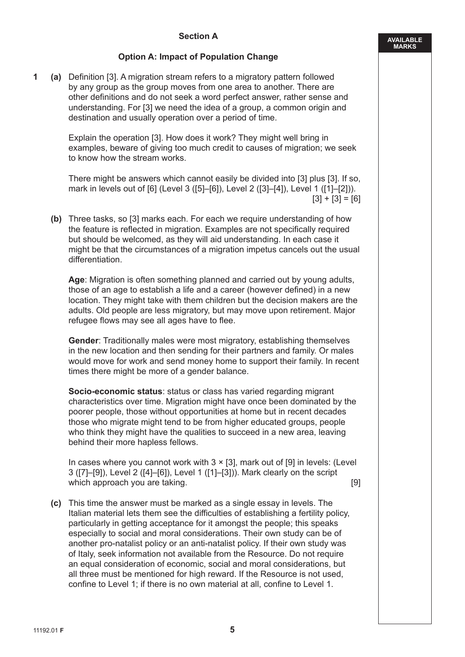#### **Section A**

#### **Option A: Impact of Population Change**

**1 (a)** Definition [3]. A migration stream refers to a migratory pattern followed by any group as the group moves from one area to another. There are other definitions and do not seek a word perfect answer, rather sense and understanding. For [3] we need the idea of a group, a common origin and destination and usually operation over a period of time.

> Explain the operation [3]. How does it work? They might well bring in examples, beware of giving too much credit to causes of migration; we seek to know how the stream works.

 There might be answers which cannot easily be divided into [3] plus [3]. If so, mark in levels out of [6] (Level 3 ([5]–[6]), Level 2 ([3]–[4]), Level 1 ([1]–[2])).  $[3] + [3] = [6]$ 

**(b)** Three tasks, so [3] marks each. For each we require understanding of how the feature is reflected in migration. Examples are not specifically required but should be welcomed, as they will aid understanding. In each case it might be that the circumstances of a migration impetus cancels out the usual differentiation.

 **Age**: Migration is often something planned and carried out by young adults, those of an age to establish a life and a career (however defined) in a new location. They might take with them children but the decision makers are the adults. Old people are less migratory, but may move upon retirement. Major refugee flows may see all ages have to flee.

 **Gender**: Traditionally males were most migratory, establishing themselves in the new location and then sending for their partners and family. Or males would move for work and send money home to support their family. In recent times there might be more of a gender balance.

 **Socio-economic status**: status or class has varied regarding migrant characteristics over time. Migration might have once been dominated by the poorer people, those without opportunities at home but in recent decades those who migrate might tend to be from higher educated groups, people who think they might have the qualities to succeed in a new area, leaving behind their more hapless fellows.

In cases where you cannot work with  $3 \times [3]$ , mark out of [9] in levels: (Level 3 ([7]–[9]), Level 2 ([4]–[6]), Level 1 ([1]–[3])). Mark clearly on the script which approach you are taking. **Example 20** is a set of the set of the set of the set of the set of the set of the set of the set of the set of the set of the set of the set of the set of the set of the set of the set of t

**(c)** This time the answer must be marked as a single essay in levels. The Italian material lets them see the difficulties of establishing a fertility policy, particularly in getting acceptance for it amongst the people; this speaks especially to social and moral considerations. Their own study can be of another pro-natalist policy or an anti-natalist policy. If their own study was of Italy, seek information not available from the Resource. Do not require an equal consideration of economic, social and moral considerations, but all three must be mentioned for high reward. If the Resource is not used, confine to Level 1; if there is no own material at all, confine to Level 1.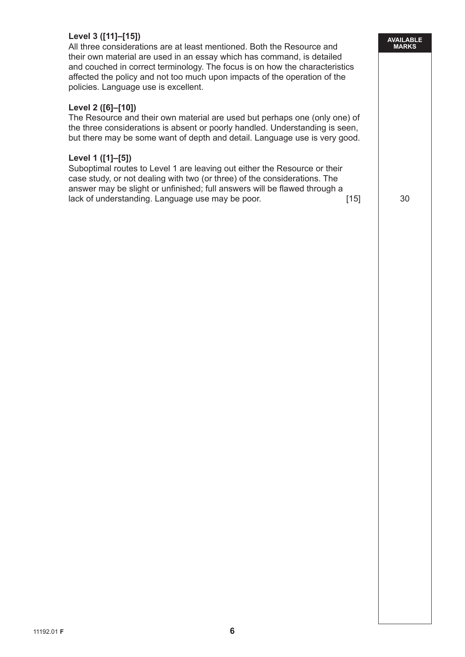#### **Level 3 ([11]–[15])**

 All three considerations are at least mentioned. Both the Resource and their own material are used in an essay which has command, is detailed and couched in correct terminology. The focus is on how the characteristics affected the policy and not too much upon impacts of the operation of the policies. Language use is excellent.

#### **Level 2 ([6]–[10])**

 The Resource and their own material are used but perhaps one (only one) of the three considerations is absent or poorly handled. Understanding is seen, but there may be some want of depth and detail. Language use is very good.

#### **Level 1 ([1]–[5])**

 Suboptimal routes to Level 1 are leaving out either the Resource or their case study, or not dealing with two (or three) of the considerations. The answer may be slight or unfinished; full answers will be flawed through a lack of understanding. Language use may be poor. [15] [15] 30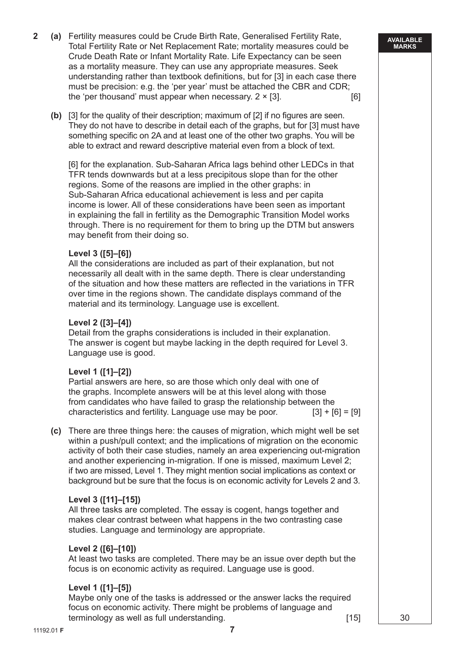- **2 (a)** Fertility measures could be Crude Birth Rate, Generalised Fertility Rate, Total Fertility Rate or Net Replacement Rate; mortality measures could be Crude Death Rate or Infant Mortality Rate. Life Expectancy can be seen as a mortality measure. They can use any appropriate measures. Seek understanding rather than textbook definitions, but for [3] in each case there must be precision: e.g. the 'per year' must be attached the CBR and CDR; the 'per thousand' must appear when necessary.  $2 \times [3]$ . [6]
	- **(b)** [3] for the quality of their description; maximum of [2] if no figures are seen. They do not have to describe in detail each of the graphs, but for [3] must have something specific on 2A and at least one of the other two graphs. You will be able to extract and reward descriptive material even from a block of text.

 [6] for the explanation. Sub-Saharan Africa lags behind other LEDCs in that TFR tends downwards but at a less precipitous slope than for the other regions. Some of the reasons are implied in the other graphs: in Sub-Saharan Africa educational achievement is less and per capita income is lower. All of these considerations have been seen as important in explaining the fall in fertility as the Demographic Transition Model works through. There is no requirement for them to bring up the DTM but answers may benefit from their doing so.

#### **Level 3 ([5]–[6])**

 All the considerations are included as part of their explanation, but not necessarily all dealt with in the same depth. There is clear understanding of the situation and how these matters are reflected in the variations in TFR over time in the regions shown. The candidate displays command of the material and its terminology. Language use is excellent.

#### **Level 2 ([3]–[4])**

 Detail from the graphs considerations is included in their explanation. The answer is cogent but maybe lacking in the depth required for Level 3. Language use is good.

#### **Level 1 ([1]–[2])**

 Partial answers are here, so are those which only deal with one of the graphs. Incomplete answers will be at this level along with those from candidates who have failed to grasp the relationship between the characteristics and fertility. Language use may be poor.  $[3] + [6] = [9]$ 

**(c)** There are three things here: the causes of migration, which might well be set within a push/pull context; and the implications of migration on the economic activity of both their case studies, namely an area experiencing out-migration and another experiencing in-migration. If one is missed, maximum Level 2; if two are missed, Level 1. They might mention social implications as context or background but be sure that the focus is on economic activity for Levels 2 and 3.

#### **Level 3 ([11]–[15])**

All three tasks are completed. The essay is cogent, hangs together and makes clear contrast between what happens in the two contrasting case studies. Language and terminology are appropriate.

#### **Level 2 ([6]–[10])**

 At least two tasks are completed. There may be an issue over depth but the focus is on economic activity as required. Language use is good.

#### **Level 1 ([1]–[5])**

 Maybe only one of the tasks is addressed or the answer lacks the required focus on economic activity. There might be problems of language and terminology as well as full understanding. The same state of the state of the state of the state of the state o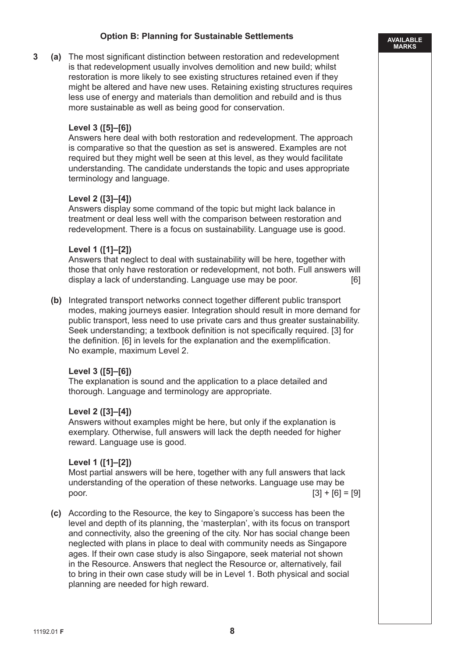#### **Option B: Planning for Sustainable Settlements**

**3 (a)** The most significant distinction between restoration and redevelopment is that redevelopment usually involves demolition and new build; whilst restoration is more likely to see existing structures retained even if they might be altered and have new uses. Retaining existing structures requires less use of energy and materials than demolition and rebuild and is thus more sustainable as well as being good for conservation.

#### **Level 3 ([5]–[6])**

 Answers here deal with both restoration and redevelopment. The approach is comparative so that the question as set is answered. Examples are not required but they might well be seen at this level, as they would facilitate understanding. The candidate understands the topic and uses appropriate terminology and language.

#### **Level 2 ([3]–[4])**

 Answers display some command of the topic but might lack balance in treatment or deal less well with the comparison between restoration and redevelopment. There is a focus on sustainability. Language use is good.

#### **Level 1 ([1]–[2])**

 Answers that neglect to deal with sustainability will be here, together with those that only have restoration or redevelopment, not both. Full answers will display a lack of understanding. Language use may be poor. [6]

**(b)** Integrated transport networks connect together different public transport modes, making journeys easier. Integration should result in more demand for public transport, less need to use private cars and thus greater sustainability. Seek understanding; a textbook definition is not specifically required. [3] for the definition. [6] in levels for the explanation and the exemplification. No example, maximum Level 2.

#### **Level 3 ([5]–[6])**

 The explanation is sound and the application to a place detailed and thorough. Language and terminology are appropriate.

#### **Level 2 ([3]–[4])**

 Answers without examples might be here, but only if the explanation is exemplary. Otherwise, full answers will lack the depth needed for higher reward. Language use is good.

#### **Level 1 ([1]–[2])**

 Most partial answers will be here, together with any full answers that lack understanding of the operation of these networks. Language use may be poor. [3] + [6] = [9]

 **(c)** According to the Resource, the key to Singapore's success has been the level and depth of its planning, the 'masterplan', with its focus on transport and connectivity, also the greening of the city. Nor has social change been neglected with plans in place to deal with community needs as Singapore ages. If their own case study is also Singapore, seek material not shown in the Resource. Answers that neglect the Resource or, alternatively, fail to bring in their own case study will be in Level 1. Both physical and social planning are needed for high reward.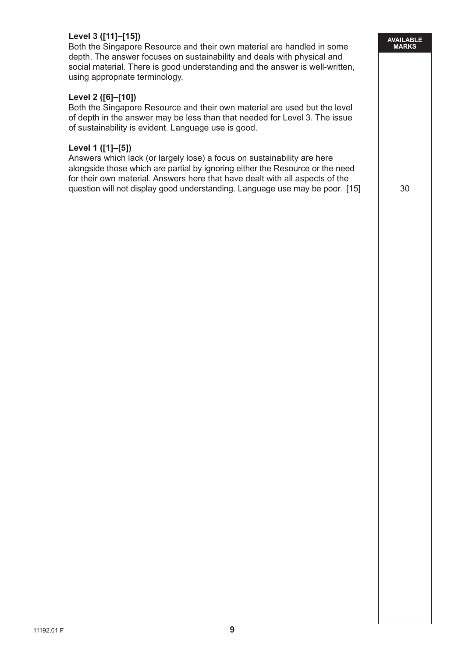#### **Level 3 ([11]–[15])**

 Both the Singapore Resource and their own material are handled in some depth. The answer focuses on sustainability and deals with physical and social material. There is good understanding and the answer is well-written, using appropriate terminology.

#### **Level 2 ([6]–[10])**

 Both the Singapore Resource and their own material are used but the level of depth in the answer may be less than that needed for Level 3. The issue of sustainability is evident. Language use is good.

#### **Level 1 ([1]–[5])**

 Answers which lack (or largely lose) a focus on sustainability are here alongside those which are partial by ignoring either the Resource or the need for their own material. Answers here that have dealt with all aspects of the question will not display good understanding. Language use may be poor. [15]  $\qquad$  30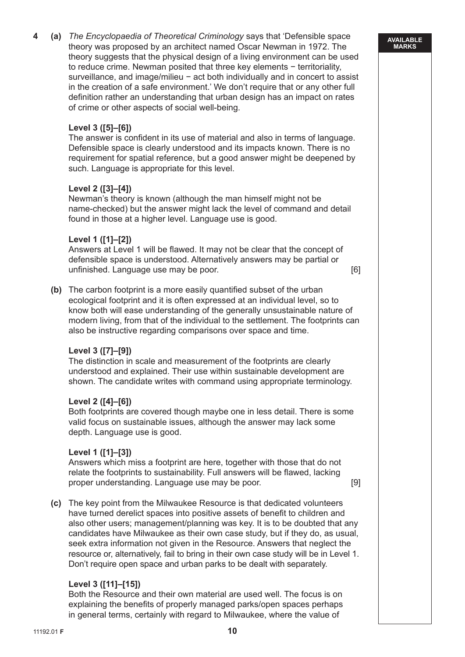**4 (a)** *The Encyclopaedia of Theoretical Criminology* says that 'Defensible space theory was proposed by an architect named Oscar Newman in 1972. The theory suggests that the physical design of a living environment can be used to reduce crime. Newman posited that three key elements − territoriality, surveillance, and image/milieu − act both individually and in concert to assist in the creation of a safe environment.' We don't require that or any other full definition rather an understanding that urban design has an impact on rates of crime or other aspects of social well-being.

#### **Level 3 ([5]–[6])**

 The answer is confident in its use of material and also in terms of language. Defensible space is clearly understood and its impacts known. There is no requirement for spatial reference, but a good answer might be deepened by such. Language is appropriate for this level.

### **Level 2 ([3]–[4])**

 Newman's theory is known (although the man himself might not be name-checked) but the answer might lack the level of command and detail found in those at a higher level. Language use is good.

#### **Level 1 ([1]–[2])**

 Answers at Level 1 will be flawed. It may not be clear that the concept of defensible space is understood. Alternatively answers may be partial or unfinished. Language use may be poor. [6]

**(b)** The carbon footprint is a more easily quantified subset of the urban ecological footprint and it is often expressed at an individual level, so to know both will ease understanding of the generally unsustainable nature of modern living, from that of the individual to the settlement. The footprints can also be instructive regarding comparisons over space and time.

#### **Level 3 ([7]–[9])**

 The distinction in scale and measurement of the footprints are clearly understood and explained. Their use within sustainable development are shown. The candidate writes with command using appropriate terminology.

#### **Level 2 ([4]–[6])**

 Both footprints are covered though maybe one in less detail. There is some valid focus on sustainable issues, although the answer may lack some depth. Language use is good.

#### **Level 1 ([1]–[3])**

 Answers which miss a footprint are here, together with those that do not relate the footprints to sustainability. Full answers will be flawed, lacking proper understanding. Language use may be poor.

 **(c)** The key point from the Milwaukee Resource is that dedicated volunteers have turned derelict spaces into positive assets of benefit to children and also other users; management/planning was key. It is to be doubted that any candidates have Milwaukee as their own case study, but if they do, as usual, seek extra information not given in the Resource. Answers that neglect the resource or, alternatively, fail to bring in their own case study will be in Level 1. Don't require open space and urban parks to be dealt with separately.

#### **Level 3 ([11]–[15])**

 Both the Resource and their own material are used well. The focus is on explaining the benefits of properly managed parks/open spaces perhaps in general terms, certainly with regard to Milwaukee, where the value of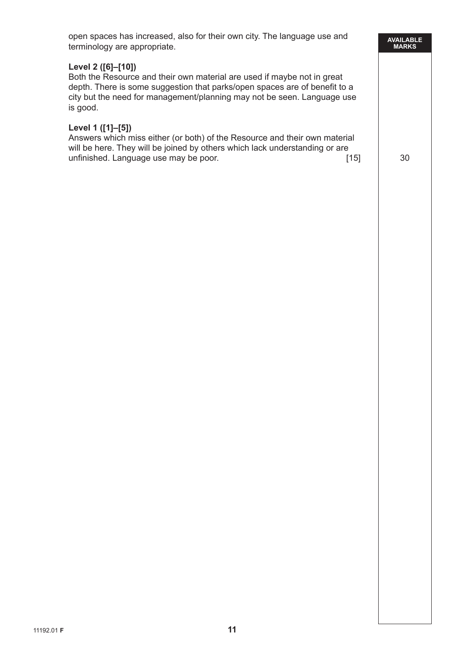| anguage use and                                                   | AVAILABLE<br>MARKS |
|-------------------------------------------------------------------|--------------------|
| aybe not in great<br>es are of benefit to a<br>seen. Language use |                    |
| nd their own material<br>nderstanding or are<br>$[15]$            | 30                 |
|                                                                   |                    |
|                                                                   |                    |
|                                                                   |                    |
|                                                                   |                    |
|                                                                   |                    |
|                                                                   |                    |

#### **Level 2 ([6]–[10])**

Both the Resource and their own material are used if m depth. There is some suggestion that parks/open space city but the need for management/planning may not be is good.

#### **Level 1 ([1]–[5])**

Answers which miss either (or both) of the Resource an will be here. They will be joined by others which lack un unfinished. Language use may be poor.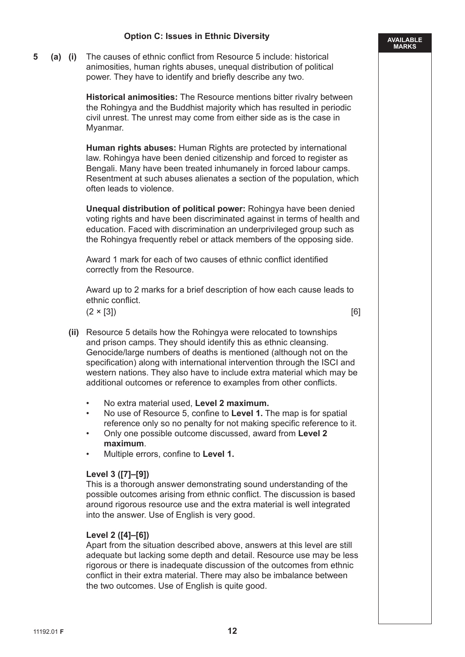#### **Option C: Issues in Ethnic Diversity**

**5 (a) (i)** The causes of ethnic conflict from Resource 5 include: historical animosities, human rights abuses, unequal distribution of political power. They have to identify and briefly describe any two.

> **Historical animosities:** The Resource mentions bitter rivalry between the Rohingya and the Buddhist majority which has resulted in periodic civil unrest. The unrest may come from either side as is the case in Myanmar.

 **Human rights abuses:** Human Rights are protected by international law. Rohingya have been denied citizenship and forced to register as Bengali. Many have been treated inhumanely in forced labour camps. Resentment at such abuses alienates a section of the population, which often leads to violence.

 **Unequal distribution of political power:** Rohingya have been denied voting rights and have been discriminated against in terms of health and education. Faced with discrimination an underprivileged group such as the Rohingya frequently rebel or attack members of the opposing side.

 Award 1 mark for each of two causes of ethnic conflict identified correctly from the Resource.

 Award up to 2 marks for a brief description of how each cause leads to ethnic conflict.

 $(2 \times [3])$  [6]

**AVAILABLE MARKS**

- **(ii)** Resource 5 details how the Rohingya were relocated to townships and prison camps. They should identify this as ethnic cleansing. Genocide/large numbers of deaths is mentioned (although not on the specification) along with international intervention through the ISCI and western nations. They also have to include extra material which may be additional outcomes or reference to examples from other conflicts.
	- No extra material used, **Level 2 maximum.**
	- No use of Resource 5, confine to **Level 1.** The map is for spatial reference only so no penalty for not making specific reference to it.
	- Only one possible outcome discussed, award from **Level 2 maximum**.
	- Multiple errors, confine to **Level 1.**

#### **Level 3 ([7]–[9])**

 This is a thorough answer demonstrating sound understanding of the possible outcomes arising from ethnic conflict. The discussion is based around rigorous resource use and the extra material is well integrated into the answer. Use of English is very good.

#### **Level 2 ([4]–[6])**

 Apart from the situation described above, answers at this level are still adequate but lacking some depth and detail. Resource use may be less rigorous or there is inadequate discussion of the outcomes from ethnic conflict in their extra material. There may also be imbalance between the two outcomes. Use of English is quite good.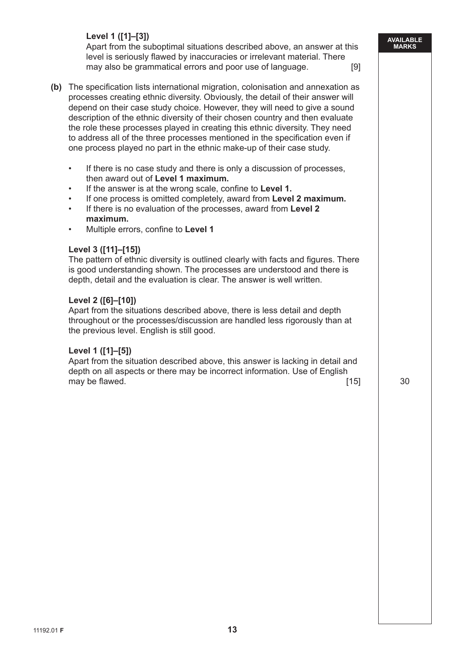#### **Level 1 ([1]–[3])**

 Apart from the suboptimal situations described above, an answer at this level is seriously flawed by inaccuracies or irrelevant material. There may also be grammatical errors and poor use of language. [9]

- **(b)** The specification lists international migration, colonisation and annexation as processes creating ethnic diversity. Obviously, the detail of their answer will depend on their case study choice. However, they will need to give a sound description of the ethnic diversity of their chosen country and then evaluate the role these processes played in creating this ethnic diversity. They need to address all of the three processes mentioned in the specification even if one process played no part in the ethnic make-up of their case study.
	- If there is no case study and there is only a discussion of processes, then award out of **Level 1 maximum.**
	- If the answer is at the wrong scale, confine to **Level 1.**
	- If one process is omitted completely, award from **Level 2 maximum.**
	- If there is no evaluation of the processes, award from **Level 2 maximum.**
	- Multiple errors, confine to **Level 1**

#### **Level 3 ([11]–[15])**

 The pattern of ethnic diversity is outlined clearly with facts and figures. There is good understanding shown. The processes are understood and there is depth, detail and the evaluation is clear. The answer is well written.

#### **Level 2 ([6]–[10])**

 Apart from the situations described above, there is less detail and depth throughout or the processes/discussion are handled less rigorously than at the previous level. English is still good.

#### **Level 1 ([1]–[5])**

 Apart from the situation described above, this answer is lacking in detail and depth on all aspects or there may be incorrect information. Use of English may be flawed.  $\blacksquare$  30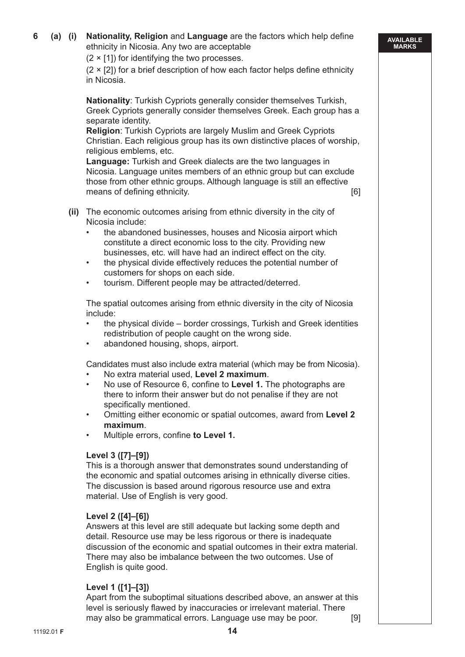$(2 \times [1])$  for identifying the two processes.

 $(2 \times [2])$  for a brief description of how each factor helps define ethnicity in Nicosia.

**AVAILABLE MARKS**

 **Nationality**: Turkish Cypriots generally consider themselves Turkish, Greek Cypriots generally consider themselves Greek. Each group has a separate identity.

 **Religion**: Turkish Cypriots are largely Muslim and Greek Cypriots Christian. Each religious group has its own distinctive places of worship, religious emblems, etc.

 **Language:** Turkish and Greek dialects are the two languages in Nicosia. Language unites members of an ethnic group but can exclude those from other ethnic groups. Although language is still an effective means of defining ethnicity. [6]

- **(ii)** The economic outcomes arising from ethnic diversity in the city of Nicosia include:
	- the abandoned businesses, houses and Nicosia airport which constitute a direct economic loss to the city. Providing new businesses, etc. will have had an indirect effect on the city.
	- the physical divide effectively reduces the potential number of customers for shops on each side.
	- tourism. Different people may be attracted/deterred.

 The spatial outcomes arising from ethnic diversity in the city of Nicosia include:

- the physical divide border crossings, Turkish and Greek identities redistribution of people caught on the wrong side.
- abandoned housing, shops, airport.

Candidates must also include extra material (which may be from Nicosia).

- No extra material used, **Level 2 maximum**.
- No use of Resource 6, confine to **Level 1.** The photographs are there to inform their answer but do not penalise if they are not specifically mentioned.
- Omitting either economic or spatial outcomes, award from **Level 2 maximum**.
- Multiple errors, confine **to Level 1.**

#### **Level 3 ([7]–[9])**

 This is a thorough answer that demonstrates sound understanding of the economic and spatial outcomes arising in ethnically diverse cities. The discussion is based around rigorous resource use and extra material. Use of English is very good.

#### **Level 2 ([4]–[6])**

 Answers at this level are still adequate but lacking some depth and detail. Resource use may be less rigorous or there is inadequate discussion of the economic and spatial outcomes in their extra material. There may also be imbalance between the two outcomes. Use of English is quite good.

#### **Level 1 ([1]–[3])**

 Apart from the suboptimal situations described above, an answer at this level is seriously flawed by inaccuracies or irrelevant material. There may also be grammatical errors. Language use may be poor. [9]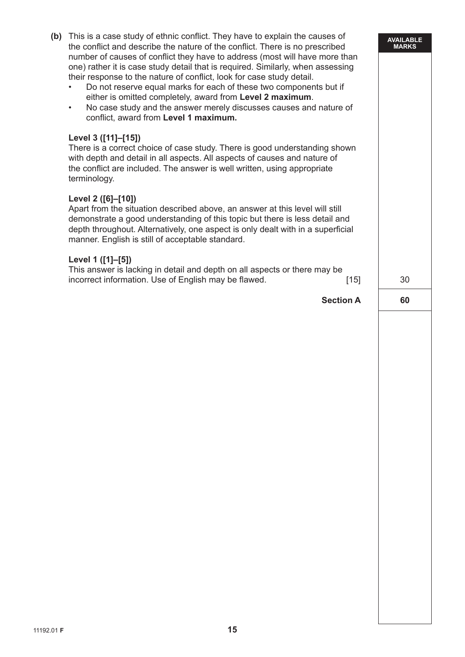| (b) | This is a case study of ethnic conflict. They have to explain the causes of<br>the conflict and describe the nature of the conflict. There is no prescribed<br>number of causes of conflict they have to address (most will have more than<br>one) rather it is case study detail that is required. Similarly, when assessing<br>their response to the nature of conflict, look for case study detail.<br>Do not reserve equal marks for each of these two components but if<br>either is omitted completely, award from Level 2 maximum.<br>No case study and the answer merely discusses causes and nature of<br>$\bullet$<br>conflict, award from Level 1 maximum.<br>Level 3 ([11]–[15])<br>There is a correct choice of case study. There is good understanding shown<br>with depth and detail in all aspects. All aspects of causes and nature of<br>the conflict are included. The answer is well written, using appropriate<br>terminology.<br>Level 2 ([6]-[10])<br>Apart from the situation described above, an answer at this level will still<br>demonstrate a good understanding of this topic but there is less detail and<br>depth throughout. Alternatively, one aspect is only dealt with in a superficial<br>manner. English is still of acceptable standard. | <b>AVAILABLE</b><br><b>MARKS</b> |
|-----|---------------------------------------------------------------------------------------------------------------------------------------------------------------------------------------------------------------------------------------------------------------------------------------------------------------------------------------------------------------------------------------------------------------------------------------------------------------------------------------------------------------------------------------------------------------------------------------------------------------------------------------------------------------------------------------------------------------------------------------------------------------------------------------------------------------------------------------------------------------------------------------------------------------------------------------------------------------------------------------------------------------------------------------------------------------------------------------------------------------------------------------------------------------------------------------------------------------------------------------------------------------------------------|----------------------------------|
|     | Level 1 ([1]-[5])<br>This answer is lacking in detail and depth on all aspects or there may be<br>incorrect information. Use of English may be flawed.<br>$[15]$                                                                                                                                                                                                                                                                                                                                                                                                                                                                                                                                                                                                                                                                                                                                                                                                                                                                                                                                                                                                                                                                                                                | 30                               |
|     | <b>Section A</b>                                                                                                                                                                                                                                                                                                                                                                                                                                                                                                                                                                                                                                                                                                                                                                                                                                                                                                                                                                                                                                                                                                                                                                                                                                                                | 60                               |
|     |                                                                                                                                                                                                                                                                                                                                                                                                                                                                                                                                                                                                                                                                                                                                                                                                                                                                                                                                                                                                                                                                                                                                                                                                                                                                                 |                                  |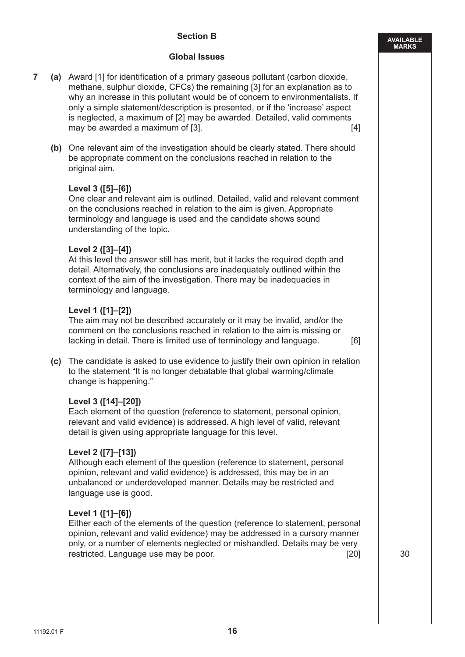#### **Section B**

#### **Global Issues**

- **7 (a)** Award [1] for identification of a primary gaseous pollutant (carbon dioxide, methane, sulphur dioxide, CFCs) the remaining [3] for an explanation as to why an increase in this pollutant would be of concern to environmentalists. If only a simple statement/description is presented, or if the 'increase' aspect is neglected, a maximum of [2] may be awarded. Detailed, valid comments may be awarded a maximum of [3]. **Example 20** in the same of the same of the same of the same of the same of the same of the same of the same of the same of the same of the same of the same of the same of the same of the s
	- **(b)** One relevant aim of the investigation should be clearly stated. There should be appropriate comment on the conclusions reached in relation to the original aim.

#### **Level 3 ([5]–[6])**

 One clear and relevant aim is outlined. Detailed, valid and relevant comment on the conclusions reached in relation to the aim is given. Appropriate terminology and language is used and the candidate shows sound understanding of the topic.

#### **Level 2 ([3]–[4])**

 At this level the answer still has merit, but it lacks the required depth and detail. Alternatively, the conclusions are inadequately outlined within the context of the aim of the investigation. There may be inadequacies in terminology and language.

#### **Level 1 ([1]–[2])**

 The aim may not be described accurately or it may be invalid, and/or the comment on the conclusions reached in relation to the aim is missing or lacking in detail. There is limited use of terminology and language.[6]

 **(c)** The candidate is asked to use evidence to justify their own opinion in relation to the statement "It is no longer debatable that global warming/climate change is happening."

#### **Level 3 ([14]–[20])**

 Each element of the question (reference to statement, personal opinion, relevant and valid evidence) is addressed. A high level of valid, relevant detail is given using appropriate language for this level.

#### **Level 2 ([7]–[13])**

 Although each element of the question (reference to statement, personal opinion, relevant and valid evidence) is addressed, this may be in an unbalanced or underdeveloped manner. Details may be restricted and language use is good.

#### **Level 1 ([1]–[6])**

 Either each of the elements of the question (reference to statement, personal opinion, relevant and valid evidence) may be addressed in a cursory manner only, or a number of elements neglected or mishandled. Details may be very restricted. Language use may be poor. [20] [20] 30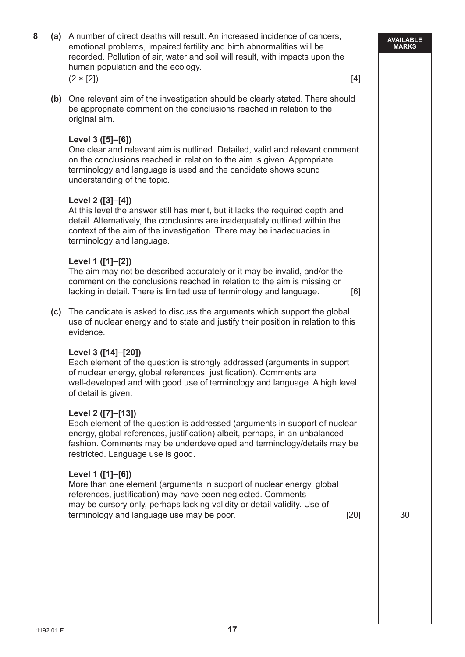|  | recorded. Pollution of air, water and soil will result, with impacts upon the<br>human population and the ecology.<br>$(2 \times [2])$                                                                                                                                                         | $[4]$  |    |
|--|------------------------------------------------------------------------------------------------------------------------------------------------------------------------------------------------------------------------------------------------------------------------------------------------|--------|----|
|  | (b) One relevant aim of the investigation should be clearly stated. There should<br>be appropriate comment on the conclusions reached in relation to the<br>original aim.                                                                                                                      |        |    |
|  | Level 3 ([5]-[6])<br>One clear and relevant aim is outlined. Detailed, valid and relevant comment<br>on the conclusions reached in relation to the aim is given. Appropriate<br>terminology and language is used and the candidate shows sound<br>understanding of the topic.                  |        |    |
|  | Level 2 ([3]-[4])<br>At this level the answer still has merit, but it lacks the required depth and<br>detail. Alternatively, the conclusions are inadequately outlined within the<br>context of the aim of the investigation. There may be inadequacies in<br>terminology and language.        |        |    |
|  | Level 1 ([1]-[2])<br>The aim may not be described accurately or it may be invalid, and/or the<br>comment on the conclusions reached in relation to the aim is missing or<br>lacking in detail. There is limited use of terminology and language.                                               | [6]    |    |
|  | (c) The candidate is asked to discuss the arguments which support the global<br>use of nuclear energy and to state and justify their position in relation to this<br>evidence.                                                                                                                 |        |    |
|  | Level 3 ([14]-[20])<br>Each element of the question is strongly addressed (arguments in support<br>of nuclear energy, global references, justification). Comments are<br>well-developed and with good use of terminology and language. A high level<br>of detail is given.                     |        |    |
|  | Level 2 ([7]-[13])<br>Each element of the question is addressed (arguments in support of nuclear<br>energy, global references, justification) albeit, perhaps, in an unbalanced<br>fashion. Comments may be underdeveloped and terminology/details may be<br>restricted. Language use is good. |        |    |
|  | Level 1 ([1]-[6])<br>More than one element (arguments in support of nuclear energy, global<br>references, justification) may have been neglected. Comments<br>may be cursory only, perhaps lacking validity or detail validity. Use of<br>terminology and language use may be poor.            | $[20]$ | 30 |
|  |                                                                                                                                                                                                                                                                                                |        |    |

**8 (a)** A number of direct deaths will result. An increased incidence of cancers, emotional problems, impaired fertility and birth abnormalities will be

**AVAILABLE**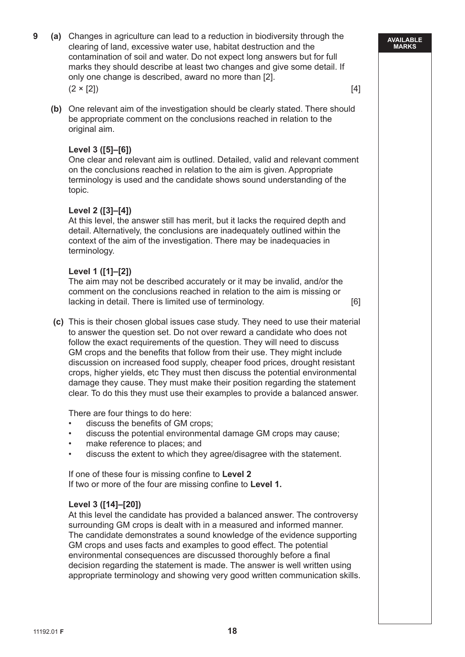- **9 (a)** Changes in agriculture can lead to a reduction in biodiversity through the clearing of land, excessive water use, habitat destruction and the contamination of soil and water. Do not expect long answers but for full marks they should describe at least two changes and give some detail. If only one change is described, award no more than [2].  $(2 \times [2])$  [4]
	- **(b)** One relevant aim of the investigation should be clearly stated. There should be appropriate comment on the conclusions reached in relation to the original aim.

#### **Level 3 ([5]–[6])**

 One clear and relevant aim is outlined. Detailed, valid and relevant comment on the conclusions reached in relation to the aim is given. Appropriate terminology is used and the candidate shows sound understanding of the topic.

#### **Level 2 ([3]–[4])**

 At this level, the answer still has merit, but it lacks the required depth and detail. Alternatively, the conclusions are inadequately outlined within the context of the aim of the investigation. There may be inadequacies in terminology.

#### **Level 1 ([1]–[2])**

 The aim may not be described accurately or it may be invalid, and/or the comment on the conclusions reached in relation to the aim is missing or lacking in detail. There is limited use of terminology. [6]

 **(c)** This is their chosen global issues case study. They need to use their material to answer the question set. Do not over reward a candidate who does not follow the exact requirements of the question. They will need to discuss GM crops and the benefits that follow from their use. They might include discussion on increased food supply, cheaper food prices, drought resistant crops, higher yields, etc They must then discuss the potential environmental damage they cause. They must make their position regarding the statement clear. To do this they must use their examples to provide a balanced answer.

There are four things to do here:

- discuss the benefits of GM crops;
- discuss the potential environmental damage GM crops may cause;
- make reference to places; and
- discuss the extent to which they agree/disagree with the statement.

 If one of these four is missing confine to **Level 2** If two or more of the four are missing confine to **Level 1.**

#### **Level 3 ([14]–[20])**

 At this level the candidate has provided a balanced answer. The controversy surrounding GM crops is dealt with in a measured and informed manner. The candidate demonstrates a sound knowledge of the evidence supporting GM crops and uses facts and examples to good effect. The potential environmental consequences are discussed thoroughly before a final decision regarding the statement is made. The answer is well written using appropriate terminology and showing very good written communication skills.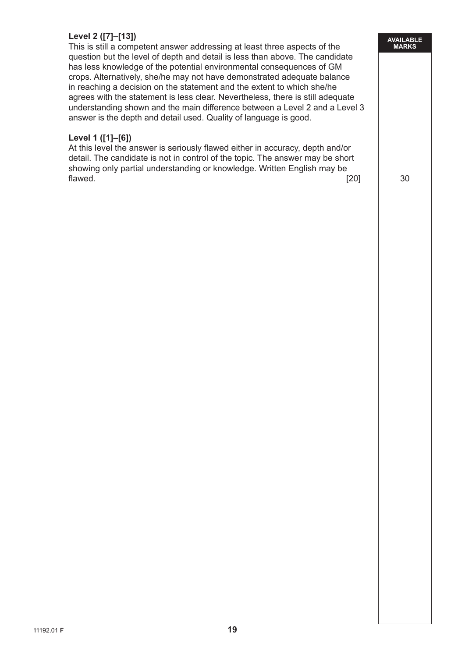#### **Level 2 ([7]–[13])**

 This is still a competent answer addressing at least three aspects of the question but the level of depth and detail is less than above. The candidate has less knowledge of the potential environmental consequences of GM crops. Alternatively, she/he may not have demonstrated adequate balance in reaching a decision on the statement and the extent to which she/he agrees with the statement is less clear. Nevertheless, there is still adequate understanding shown and the main difference between a Level 2 and a Level 3 answer is the depth and detail used. Quality of language is good.

#### **Level 1 ([1]–[6])**

 At this level the answer is seriously flawed either in accuracy, depth and/or detail. The candidate is not in control of the topic. The answer may be short showing only partial understanding or knowledge. Written English may be flawed.  $\begin{array}{|c|c|c|c|c|c|}\n\hline\n\text{flawed.} & & \text{30}\n\end{array}$ 

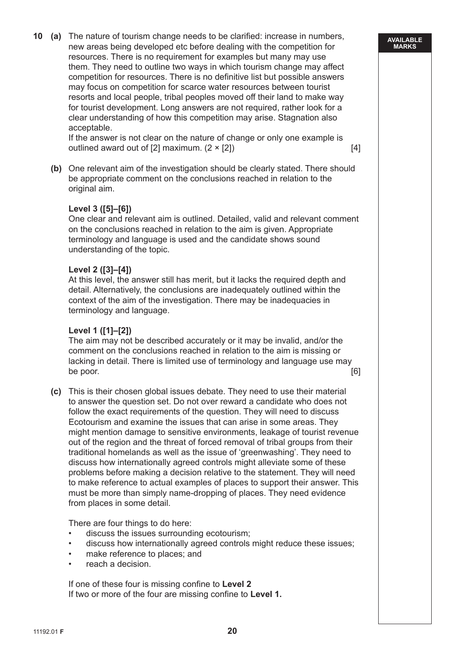**10 (a)** The nature of tourism change needs to be clarified: increase in numbers, new areas being developed etc before dealing with the competition for resources. There is no requirement for examples but many may use them. They need to outline two ways in which tourism change may affect competition for resources. There is no definitive list but possible answers may focus on competition for scarce water resources between tourist resorts and local people, tribal peoples moved off their land to make way for tourist development. Long answers are not required, rather look for a clear understanding of how this competition may arise. Stagnation also acceptable.

 If the answer is not clear on the nature of change or only one example is outlined award out of  $[2]$  maximum.  $(2 \times [2])$  [4]

 **(b)** One relevant aim of the investigation should be clearly stated. There should be appropriate comment on the conclusions reached in relation to the original aim.

#### **Level 3 ([5]–[6])**

 One clear and relevant aim is outlined. Detailed, valid and relevant comment on the conclusions reached in relation to the aim is given. Appropriate terminology and language is used and the candidate shows sound understanding of the topic.

#### **Level 2 ([3]–[4])**

 At this level, the answer still has merit, but it lacks the required depth and detail. Alternatively, the conclusions are inadequately outlined within the context of the aim of the investigation. There may be inadequacies in terminology and language.

#### **Level 1 ([1]–[2])**

 The aim may not be described accurately or it may be invalid, and/or the comment on the conclusions reached in relation to the aim is missing or lacking in detail. There is limited use of terminology and language use may be poor.  $[6]$ 

**(c)** This is their chosen global issues debate. They need to use their material to answer the question set. Do not over reward a candidate who does not follow the exact requirements of the question. They will need to discuss Ecotourism and examine the issues that can arise in some areas. They might mention damage to sensitive environments, leakage of tourist revenue out of the region and the threat of forced removal of tribal groups from their traditional homelands as well as the issue of 'greenwashing'. They need to discuss how internationally agreed controls might alleviate some of these problems before making a decision relative to the statement. They will need to make reference to actual examples of places to support their answer. This must be more than simply name-dropping of places. They need evidence from places in some detail.

There are four things to do here:

- discuss the issues surrounding ecotourism;
- discuss how internationally agreed controls might reduce these issues;
- make reference to places; and
- reach a decision.

 If one of these four is missing confine to **Level 2** If two or more of the four are missing confine to **Level 1.**